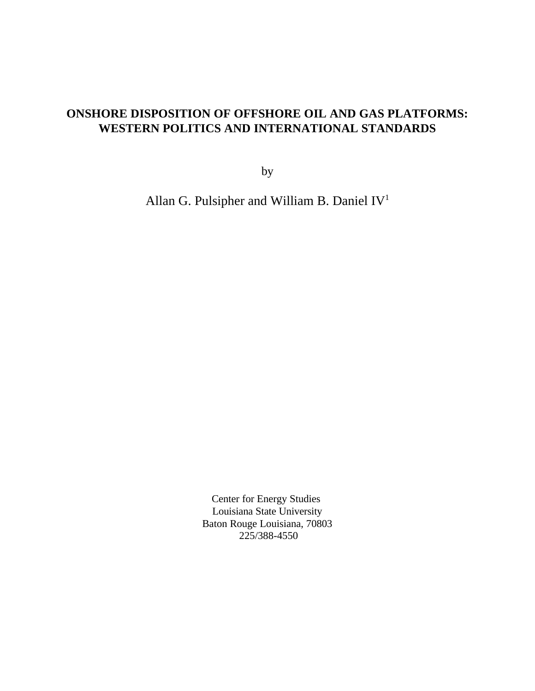# **ONSHORE DISPOSITION OF OFFSHORE OIL AND GAS PLATFORMS: WESTERN POLITICS AND INTERNATIONAL STANDARDS**

by

Allan G. Pulsipher and William B. Daniel IV<sup>1</sup>

Center for Energy Studies Louisiana State University Baton Rouge Louisiana, 70803 225/388-4550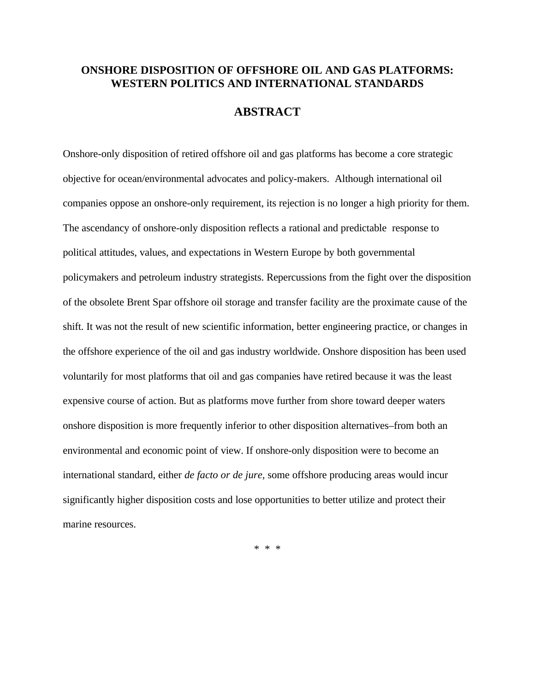### **ONSHORE DISPOSITION OF OFFSHORE OIL AND GAS PLATFORMS: WESTERN POLITICS AND INTERNATIONAL STANDARDS**

# **ABSTRACT**

Onshore-only disposition of retired offshore oil and gas platforms has become a core strategic objective for ocean/environmental advocates and policy-makers. Although international oil companies oppose an onshore-only requirement, its rejection is no longer a high priority for them. The ascendancy of onshore-only disposition reflects a rational and predictable response to political attitudes, values, and expectations in Western Europe by both governmental policymakers and petroleum industry strategists. Repercussions from the fight over the disposition of the obsolete Brent Spar offshore oil storage and transfer facility are the proximate cause of the shift. It was not the result of new scientific information, better engineering practice, or changes in the offshore experience of the oil and gas industry worldwide. Onshore disposition has been used voluntarily for most platforms that oil and gas companies have retired because it was the least expensive course of action. But as platforms move further from shore toward deeper waters onshore disposition is more frequently inferior to other disposition alternatives–from both an environmental and economic point of view. If onshore-only disposition were to become an international standard, either *de facto or de jure,* some offshore producing areas would incur significantly higher disposition costs and lose opportunities to better utilize and protect their marine resources.

\* \* \*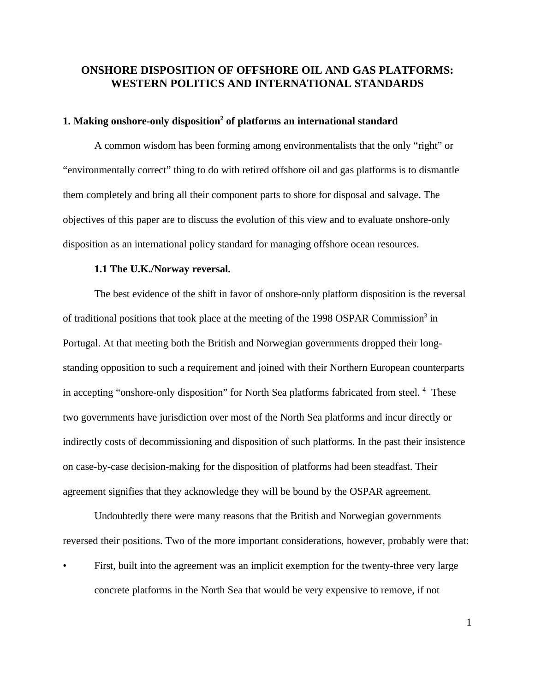## **ONSHORE DISPOSITION OF OFFSHORE OIL AND GAS PLATFORMS: WESTERN POLITICS AND INTERNATIONAL STANDARDS**

#### **1. Making onshore-only disposition<sup>2</sup> of platforms an international standard**

A common wisdom has been forming among environmentalists that the only "right" or "environmentally correct" thing to do with retired offshore oil and gas platforms is to dismantle them completely and bring all their component parts to shore for disposal and salvage. The objectives of this paper are to discuss the evolution of this view and to evaluate onshore-only disposition as an international policy standard for managing offshore ocean resources.

#### **1.1 The U.K./Norway reversal.**

The best evidence of the shift in favor of onshore-only platform disposition is the reversal of traditional positions that took place at the meeting of the 1998 OSPAR Commission<sup>3</sup> in Portugal. At that meeting both the British and Norwegian governments dropped their longstanding opposition to such a requirement and joined with their Northern European counterparts in accepting "onshore-only disposition" for North Sea platforms fabricated from steel.<sup>4</sup> These two governments have jurisdiction over most of the North Sea platforms and incur directly or indirectly costs of decommissioning and disposition of such platforms. In the past their insistence on case-by-case decision-making for the disposition of platforms had been steadfast. Their agreement signifies that they acknowledge they will be bound by the OSPAR agreement.

Undoubtedly there were many reasons that the British and Norwegian governments reversed their positions. Two of the more important considerations, however, probably were that:

First, built into the agreement was an implicit exemption for the twenty-three very large concrete platforms in the North Sea that would be very expensive to remove, if not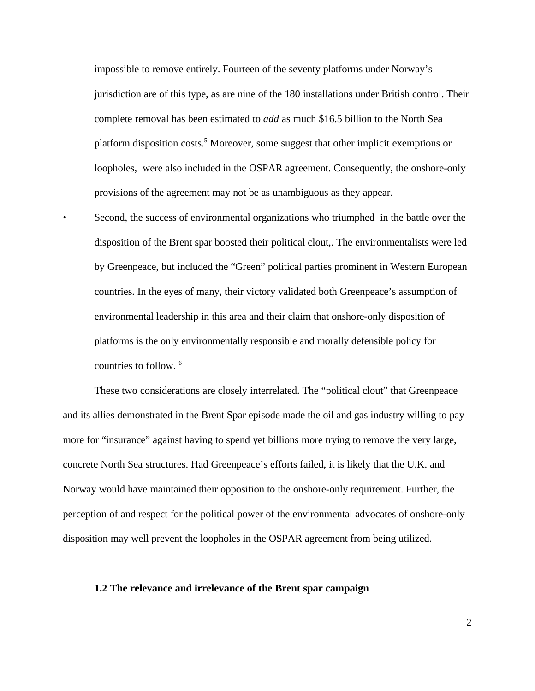impossible to remove entirely. Fourteen of the seventy platforms under Norway's jurisdiction are of this type, as are nine of the 180 installations under British control. Their complete removal has been estimated to *add* as much \$16.5 billion to the North Sea platform disposition costs.<sup>5</sup> Moreover, some suggest that other implicit exemptions or loopholes, were also included in the OSPAR agreement. Consequently, the onshore-only provisions of the agreement may not be as unambiguous as they appear.

• Second, the success of environmental organizations who triumphed in the battle over the disposition of the Brent spar boosted their political clout,. The environmentalists were led by Greenpeace, but included the "Green" political parties prominent in Western European countries. In the eyes of many, their victory validated both Greenpeace's assumption of environmental leadership in this area and their claim that onshore-only disposition of platforms is the only environmentally responsible and morally defensible policy for countries to follow. <sup>6</sup>

These two considerations are closely interrelated. The "political clout" that Greenpeace and its allies demonstrated in the Brent Spar episode made the oil and gas industry willing to pay more for "insurance" against having to spend yet billions more trying to remove the very large, concrete North Sea structures. Had Greenpeace's efforts failed, it is likely that the U.K. and Norway would have maintained their opposition to the onshore-only requirement. Further, the perception of and respect for the political power of the environmental advocates of onshore-only disposition may well prevent the loopholes in the OSPAR agreement from being utilized.

#### **1.2 The relevance and irrelevance of the Brent spar campaign**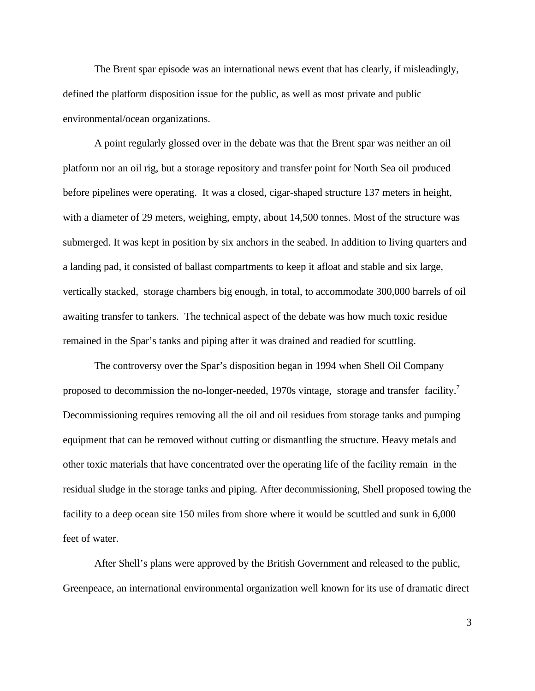The Brent spar episode was an international news event that has clearly, if misleadingly, defined the platform disposition issue for the public, as well as most private and public environmental/ocean organizations.

A point regularly glossed over in the debate was that the Brent spar was neither an oil platform nor an oil rig, but a storage repository and transfer point for North Sea oil produced before pipelines were operating. It was a closed, cigar-shaped structure 137 meters in height, with a diameter of 29 meters, weighing, empty, about 14,500 tonnes. Most of the structure was submerged. It was kept in position by six anchors in the seabed. In addition to living quarters and a landing pad, it consisted of ballast compartments to keep it afloat and stable and six large, vertically stacked, storage chambers big enough, in total, to accommodate 300,000 barrels of oil awaiting transfer to tankers. The technical aspect of the debate was how much toxic residue remained in the Spar's tanks and piping after it was drained and readied for scuttling.

The controversy over the Spar's disposition began in 1994 when Shell Oil Company proposed to decommission the no-longer-needed, 1970s vintage, storage and transfer facility.<sup>7</sup> Decommissioning requires removing all the oil and oil residues from storage tanks and pumping equipment that can be removed without cutting or dismantling the structure. Heavy metals and other toxic materials that have concentrated over the operating life of the facility remain in the residual sludge in the storage tanks and piping. After decommissioning, Shell proposed towing the facility to a deep ocean site 150 miles from shore where it would be scuttled and sunk in 6,000 feet of water.

After Shell's plans were approved by the British Government and released to the public, Greenpeace, an international environmental organization well known for its use of dramatic direct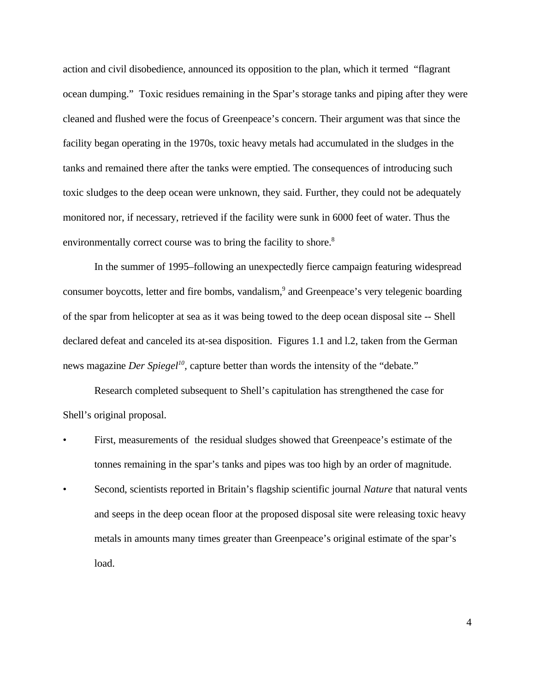action and civil disobedience, announced its opposition to the plan, which it termed "flagrant ocean dumping." Toxic residues remaining in the Spar's storage tanks and piping after they were cleaned and flushed were the focus of Greenpeace's concern. Their argument was that since the facility began operating in the 1970s, toxic heavy metals had accumulated in the sludges in the tanks and remained there after the tanks were emptied. The consequences of introducing such toxic sludges to the deep ocean were unknown, they said. Further, they could not be adequately monitored nor, if necessary, retrieved if the facility were sunk in 6000 feet of water. Thus the environmentally correct course was to bring the facility to shore.<sup>8</sup>

In the summer of 1995–following an unexpectedly fierce campaign featuring widespread consumer boycotts, letter and fire bombs, vandalism,<sup>9</sup> and Greenpeace's very telegenic boarding of the spar from helicopter at sea as it was being towed to the deep ocean disposal site -- Shell declared defeat and canceled its at-sea disposition. Figures 1.1 and l.2, taken from the German news magazine *Der Spiegel<sup>10</sup>*, capture better than words the intensity of the "debate."

Research completed subsequent to Shell's capitulation has strengthened the case for Shell's original proposal.

- First, measurements of the residual sludges showed that Greenpeace's estimate of the tonnes remaining in the spar's tanks and pipes was too high by an order of magnitude.
- Second, scientists reported in Britain's flagship scientific journal *Nature* that natural vents and seeps in the deep ocean floor at the proposed disposal site were releasing toxic heavy metals in amounts many times greater than Greenpeace's original estimate of the spar's load.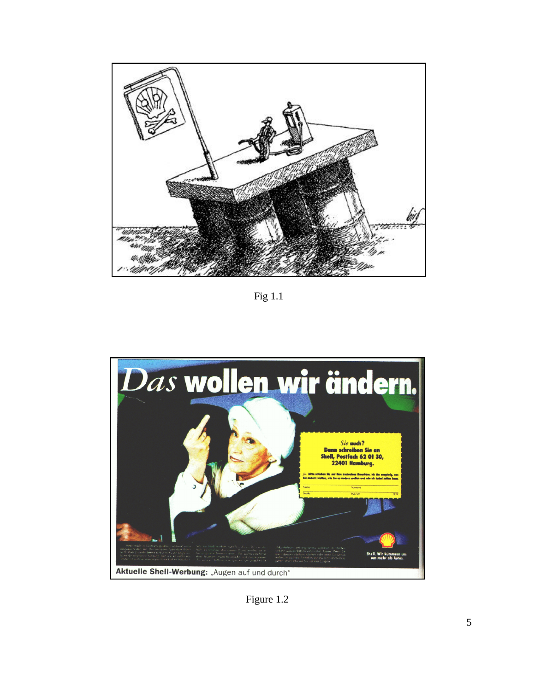

Fig 1.1



Figure 1.2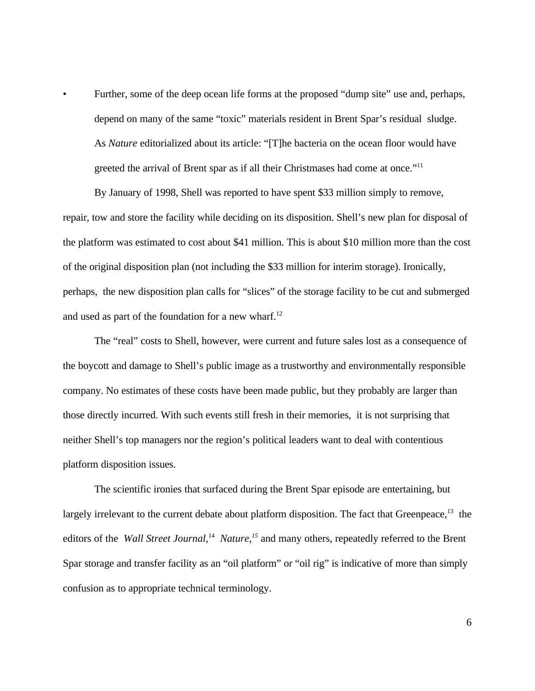Further, some of the deep ocean life forms at the proposed "dump site" use and, perhaps, depend on many of the same "toxic" materials resident in Brent Spar's residual sludge. As *Nature* editorialized about its article: "[T]he bacteria on the ocean floor would have greeted the arrival of Brent spar as if all their Christmases had come at once."<sup>11</sup>

By January of 1998, Shell was reported to have spent \$33 million simply to remove, repair, tow and store the facility while deciding on its disposition. Shell's new plan for disposal of the platform was estimated to cost about \$41 million. This is about \$10 million more than the cost of the original disposition plan (not including the \$33 million for interim storage). Ironically, perhaps, the new disposition plan calls for "slices" of the storage facility to be cut and submerged and used as part of the foundation for a new wharf. $^{12}$ 

The "real" costs to Shell, however, were current and future sales lost as a consequence of the boycott and damage to Shell's public image as a trustworthy and environmentally responsible company. No estimates of these costs have been made public, but they probably are larger than those directly incurred. With such events still fresh in their memories, it is not surprising that neither Shell's top managers nor the region's political leaders want to deal with contentious platform disposition issues.

The scientific ironies that surfaced during the Brent Spar episode are entertaining, but largely irrelevant to the current debate about platform disposition. The fact that Greenpeace,  $13$  the editors of the *Wall Street Journal,*<sup>14</sup> *Nature,<sup>15</sup>* and many others, repeatedly referred to the Brent Spar storage and transfer facility as an "oil platform" or "oil rig" is indicative of more than simply confusion as to appropriate technical terminology.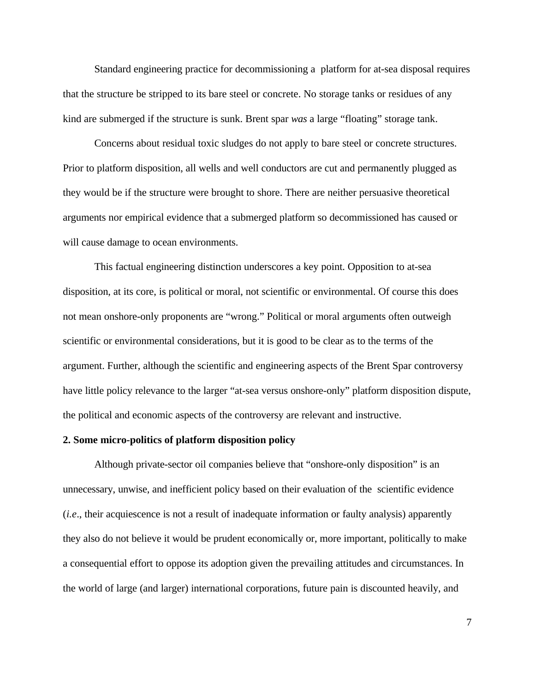Standard engineering practice for decommissioning a platform for at-sea disposal requires that the structure be stripped to its bare steel or concrete. No storage tanks or residues of any kind are submerged if the structure is sunk. Brent spar *was* a large "floating" storage tank.

Concerns about residual toxic sludges do not apply to bare steel or concrete structures. Prior to platform disposition, all wells and well conductors are cut and permanently plugged as they would be if the structure were brought to shore. There are neither persuasive theoretical arguments nor empirical evidence that a submerged platform so decommissioned has caused or will cause damage to ocean environments.

This factual engineering distinction underscores a key point. Opposition to at-sea disposition, at its core, is political or moral, not scientific or environmental. Of course this does not mean onshore-only proponents are "wrong." Political or moral arguments often outweigh scientific or environmental considerations, but it is good to be clear as to the terms of the argument. Further, although the scientific and engineering aspects of the Brent Spar controversy have little policy relevance to the larger "at-sea versus onshore-only" platform disposition dispute, the political and economic aspects of the controversy are relevant and instructive.

#### **2. Some micro-politics of platform disposition policy**

Although private-sector oil companies believe that "onshore-only disposition" is an unnecessary, unwise, and inefficient policy based on their evaluation of the scientific evidence (*i.e*., their acquiescence is not a result of inadequate information or faulty analysis) apparently they also do not believe it would be prudent economically or, more important, politically to make a consequential effort to oppose its adoption given the prevailing attitudes and circumstances. In the world of large (and larger) international corporations, future pain is discounted heavily, and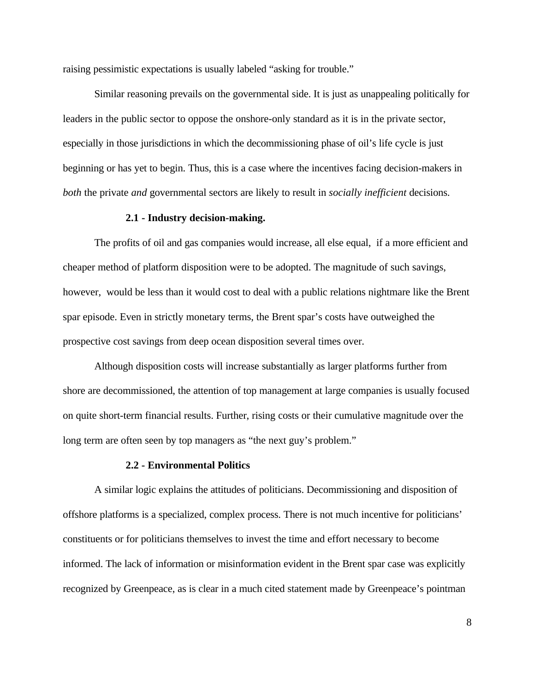raising pessimistic expectations is usually labeled "asking for trouble."

Similar reasoning prevails on the governmental side. It is just as unappealing politically for leaders in the public sector to oppose the onshore-only standard as it is in the private sector, especially in those jurisdictions in which the decommissioning phase of oil's life cycle is just beginning or has yet to begin. Thus, this is a case where the incentives facing decision-makers in *both* the private *and* governmental sectors are likely to result in *socially inefficient* decisions.

#### **2.1 - Industry decision-making.**

The profits of oil and gas companies would increase, all else equal, if a more efficient and cheaper method of platform disposition were to be adopted. The magnitude of such savings, however, would be less than it would cost to deal with a public relations nightmare like the Brent spar episode. Even in strictly monetary terms, the Brent spar's costs have outweighed the prospective cost savings from deep ocean disposition several times over.

Although disposition costs will increase substantially as larger platforms further from shore are decommissioned, the attention of top management at large companies is usually focused on quite short-term financial results. Further, rising costs or their cumulative magnitude over the long term are often seen by top managers as "the next guy's problem."

#### **2.2 - Environmental Politics**

A similar logic explains the attitudes of politicians. Decommissioning and disposition of offshore platforms is a specialized, complex process. There is not much incentive for politicians' constituents or for politicians themselves to invest the time and effort necessary to become informed. The lack of information or misinformation evident in the Brent spar case was explicitly recognized by Greenpeace, as is clear in a much cited statement made by Greenpeace's pointman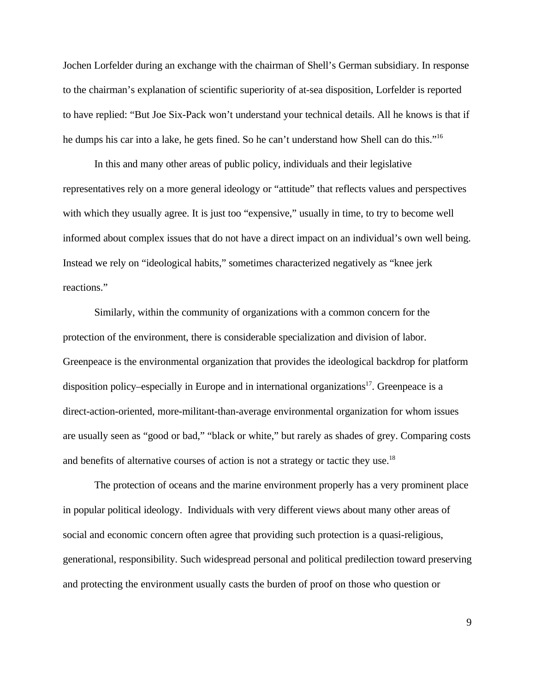Jochen Lorfelder during an exchange with the chairman of Shell's German subsidiary. In response to the chairman's explanation of scientific superiority of at-sea disposition, Lorfelder is reported to have replied: "But Joe Six-Pack won't understand your technical details. All he knows is that if he dumps his car into a lake, he gets fined. So he can't understand how Shell can do this."<sup>16</sup>

In this and many other areas of public policy, individuals and their legislative representatives rely on a more general ideology or "attitude" that reflects values and perspectives with which they usually agree. It is just too "expensive," usually in time, to try to become well informed about complex issues that do not have a direct impact on an individual's own well being. Instead we rely on "ideological habits," sometimes characterized negatively as "knee jerk reactions."

Similarly, within the community of organizations with a common concern for the protection of the environment, there is considerable specialization and division of labor. Greenpeace is the environmental organization that provides the ideological backdrop for platform disposition policy–especially in Europe and in international organizations<sup>17</sup>. Greenpeace is a direct-action-oriented, more-militant-than-average environmental organization for whom issues are usually seen as "good or bad," "black or white," but rarely as shades of grey. Comparing costs and benefits of alternative courses of action is not a strategy or tactic they use.<sup>18</sup>

The protection of oceans and the marine environment properly has a very prominent place in popular political ideology. Individuals with very different views about many other areas of social and economic concern often agree that providing such protection is a quasi-religious, generational, responsibility. Such widespread personal and political predilection toward preserving and protecting the environment usually casts the burden of proof on those who question or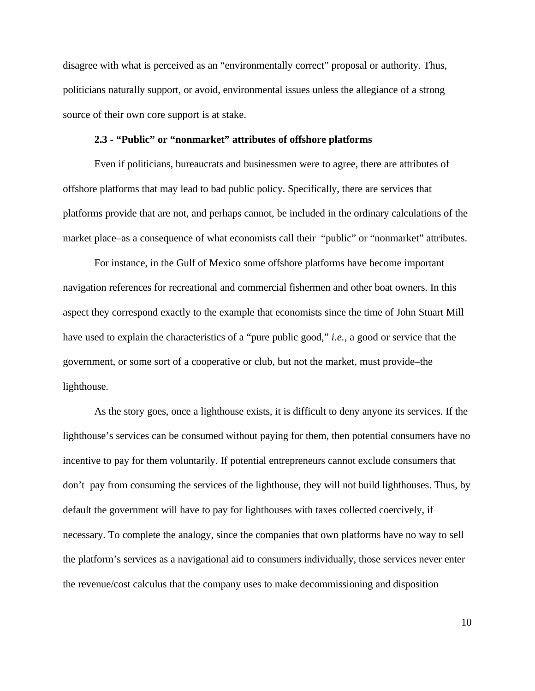disagree with what is perceived as an "environmentally correct" proposal or authority. Thus, politicians naturally support, or avoid, environmental issues unless the allegiance of a strong source of their own core support is at stake.

#### **2.3 - "Public" or "nonmarket" attributes of offshore platforms**

Even if politicians, bureaucrats and businessmen were to agree, there are attributes of offshore platforms that may lead to bad public policy. Specifically, there are services that platforms provide that are not, and perhaps cannot, be included in the ordinary calculations of the market place–as a consequence of what economists call their "public" or "nonmarket" attributes.

For instance, in the Gulf of Mexico some offshore platforms have become important navigation references for recreational and commercial fishermen and other boat owners. In this aspect they correspond exactly to the example that economists since the time of John Stuart Mill have used to explain the characteristics of a "pure public good," *i.e.*, a good or service that the government, or some sort of a cooperative or club, but not the market, must provide–the lighthouse.

As the story goes, once a lighthouse exists, it is difficult to deny anyone its services. If the lighthouse's services can be consumed without paying for them, then potential consumers have no incentive to pay for them voluntarily. If potential entrepreneurs cannot exclude consumers that don't pay from consuming the services of the lighthouse, they will not build lighthouses. Thus, by default the government will have to pay for lighthouses with taxes collected coercively, if necessary. To complete the analogy, since the companies that own platforms have no way to sell the platform's services as a navigational aid to consumers individually, those services never enter the revenue/cost calculus that the company uses to make decommissioning and disposition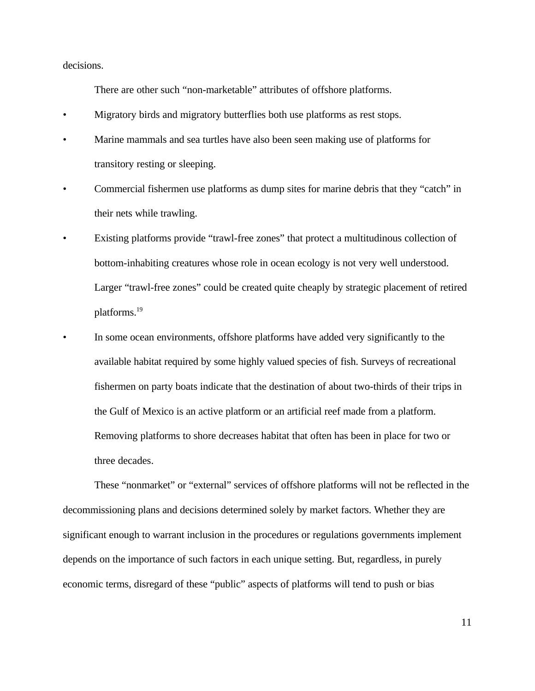decisions.

There are other such "non-marketable" attributes of offshore platforms.

- Migratory birds and migratory butterflies both use platforms as rest stops.
- Marine mammals and sea turtles have also been seen making use of platforms for transitory resting or sleeping.
- Commercial fishermen use platforms as dump sites for marine debris that they "catch" in their nets while trawling.
- Existing platforms provide "trawl-free zones" that protect a multitudinous collection of bottom-inhabiting creatures whose role in ocean ecology is not very well understood. Larger "trawl-free zones" could be created quite cheaply by strategic placement of retired platforms.<sup>19</sup>
- In some ocean environments, offshore platforms have added very significantly to the available habitat required by some highly valued species of fish. Surveys of recreational fishermen on party boats indicate that the destination of about two-thirds of their trips in the Gulf of Mexico is an active platform or an artificial reef made from a platform. Removing platforms to shore decreases habitat that often has been in place for two or three decades.

These "nonmarket" or "external" services of offshore platforms will not be reflected in the decommissioning plans and decisions determined solely by market factors. Whether they are significant enough to warrant inclusion in the procedures or regulations governments implement depends on the importance of such factors in each unique setting. But, regardless, in purely economic terms, disregard of these "public" aspects of platforms will tend to push or bias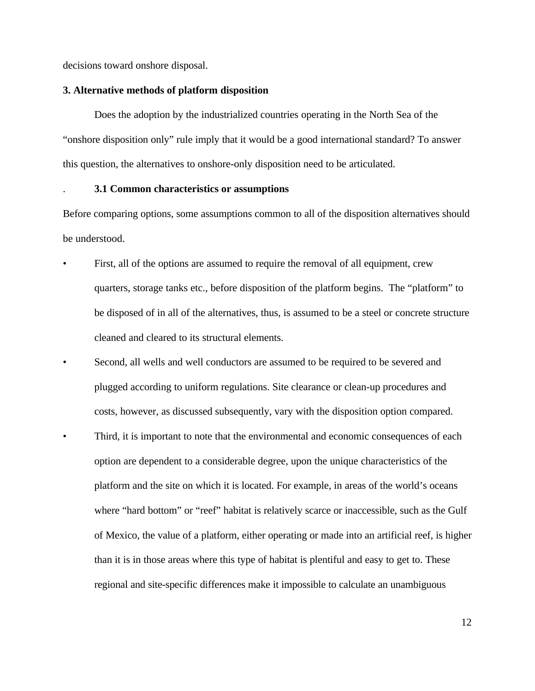decisions toward onshore disposal.

#### **3. Alternative methods of platform disposition**

Does the adoption by the industrialized countries operating in the North Sea of the "onshore disposition only" rule imply that it would be a good international standard? To answer this question, the alternatives to onshore-only disposition need to be articulated.

#### . **3.1 Common characteristics or assumptions**

Before comparing options, some assumptions common to all of the disposition alternatives should be understood.

- First, all of the options are assumed to require the removal of all equipment, crew quarters, storage tanks etc., before disposition of the platform begins. The "platform" to be disposed of in all of the alternatives, thus, is assumed to be a steel or concrete structure cleaned and cleared to its structural elements.
- Second, all wells and well conductors are assumed to be required to be severed and plugged according to uniform regulations. Site clearance or clean-up procedures and costs, however, as discussed subsequently, vary with the disposition option compared.
- Third, it is important to note that the environmental and economic consequences of each option are dependent to a considerable degree, upon the unique characteristics of the platform and the site on which it is located. For example, in areas of the world's oceans where "hard bottom" or "reef" habitat is relatively scarce or inaccessible, such as the Gulf of Mexico, the value of a platform, either operating or made into an artificial reef, is higher than it is in those areas where this type of habitat is plentiful and easy to get to. These regional and site-specific differences make it impossible to calculate an unambiguous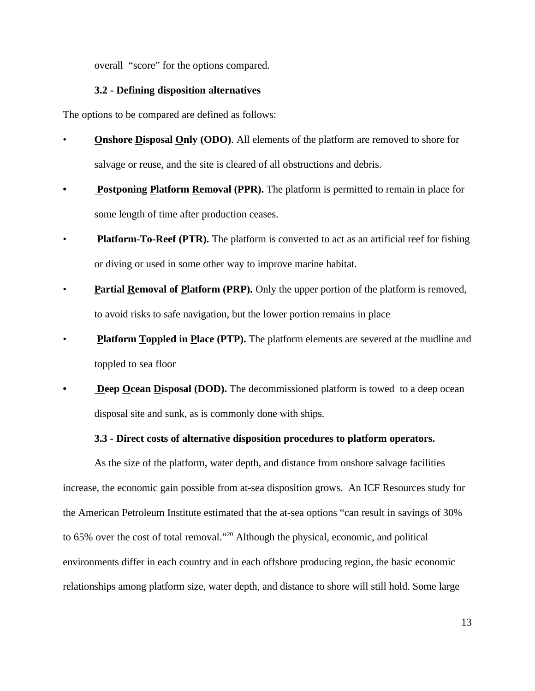overall "score" for the options compared.

### **3.2 - Defining disposition alternatives**

The options to be compared are defined as follows:

- **Onshore Disposal Only (ODO).** All elements of the platform are removed to shore for salvage or reuse, and the site is cleared of all obstructions and debris.
- **Postponing Platform Removal (PPR).** The platform is permitted to remain in place for some length of time after production ceases.
- **Platform-To-Reef (PTR).** The platform is converted to act as an artificial reef for fishing or diving or used in some other way to improve marine habitat.
- **Partial Removal of Platform (PRP).** Only the upper portion of the platform is removed, to avoid risks to safe navigation, but the lower portion remains in place
- **Platform Toppled in Place (PTP).** The platform elements are severed at the mudline and toppled to sea floor
- **Deep Ocean Disposal (DOD).** The decommissioned platform is towed to a deep ocean disposal site and sunk, as is commonly done with ships.

### **3.3 - Direct costs of alternative disposition procedures to platform operators.**

As the size of the platform, water depth, and distance from onshore salvage facilities increase, the economic gain possible from at-sea disposition grows. An ICF Resources study for the American Petroleum Institute estimated that the at-sea options "can result in savings of 30% to 65% over the cost of total removal."<sup>20</sup> Although the physical, economic, and political environments differ in each country and in each offshore producing region, the basic economic relationships among platform size, water depth, and distance to shore will still hold. Some large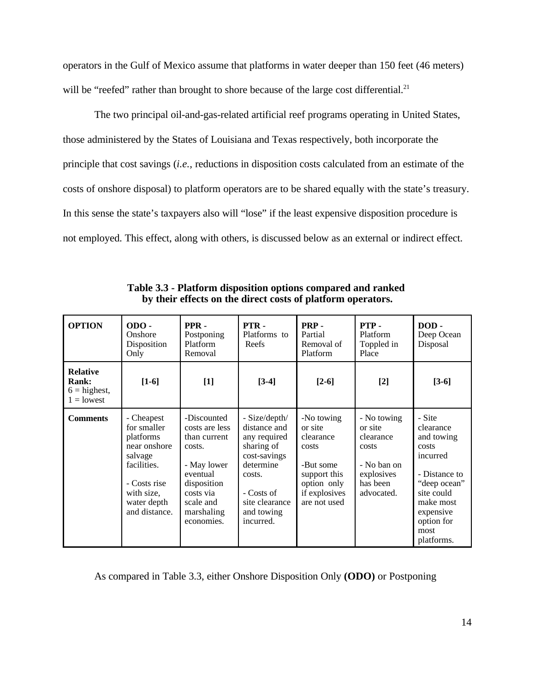operators in the Gulf of Mexico assume that platforms in water deeper than 150 feet (46 meters) will be "reefed" rather than brought to shore because of the large cost differential.<sup>21</sup>

The two principal oil-and-gas-related artificial reef programs operating in United States, those administered by the States of Louisiana and Texas respectively, both incorporate the principle that cost savings (*i.e.,* reductions in disposition costs calculated from an estimate of the costs of onshore disposal) to platform operators are to be shared equally with the state's treasury. In this sense the state's taxpayers also will "lose" if the least expensive disposition procedure is not employed. This effect, along with others, is discussed below as an external or indirect effect.

| <b>OPTION</b>                                                     | $ODO -$<br>Onshore<br>Disposition<br>Only                                                                                                      | PPR-<br>Postponing<br>Platform<br>Removal                                                                                                               | PTR-<br>Platforms to<br>Reefs                                                                                                                                 | PRP-<br>Partial<br>Removal of<br>Platform                                                                                | PTP-<br>Platform<br>Toppled in<br>Place                                                             | DOD-<br>Deep Ocean<br>Disposal                                                                                                                                      |
|-------------------------------------------------------------------|------------------------------------------------------------------------------------------------------------------------------------------------|---------------------------------------------------------------------------------------------------------------------------------------------------------|---------------------------------------------------------------------------------------------------------------------------------------------------------------|--------------------------------------------------------------------------------------------------------------------------|-----------------------------------------------------------------------------------------------------|---------------------------------------------------------------------------------------------------------------------------------------------------------------------|
| <b>Relative</b><br><b>Rank:</b><br>$6 =$ highest,<br>$1 =$ lowest | $[1-6]$                                                                                                                                        | $[1]$                                                                                                                                                   | $[3-4]$                                                                                                                                                       | $[2-6]$                                                                                                                  | $[2]$                                                                                               | $[3-6]$                                                                                                                                                             |
| <b>Comments</b>                                                   | - Cheapest<br>for smaller<br>platforms<br>near onshore<br>salvage<br>facilities.<br>- Costs rise<br>with size,<br>water depth<br>and distance. | -Discounted<br>costs are less<br>than current<br>costs.<br>- May lower<br>eventual<br>disposition<br>costs via<br>scale and<br>marshaling<br>economies. | - Size/depth/<br>distance and<br>any required<br>sharing of<br>cost-savings<br>determine<br>costs.<br>- Costs of<br>site clearance<br>and towing<br>incurred. | -No towing<br>or site<br>clearance<br>costs<br>-But some<br>support this<br>option only<br>if explosives<br>are not used | - No towing<br>or site<br>clearance<br>costs<br>- No ban on<br>explosives<br>has been<br>advocated. | - Site<br>clearance<br>and towing<br>costs<br>incurred<br>- Distance to<br>"deep ocean"<br>site could<br>make most<br>expensive<br>option for<br>most<br>platforms. |

**Table 3.3 - Platform disposition options compared and ranked by their effects on the direct costs of platform operators.**

As compared in Table 3.3, either Onshore Disposition Only **(ODO)** or Postponing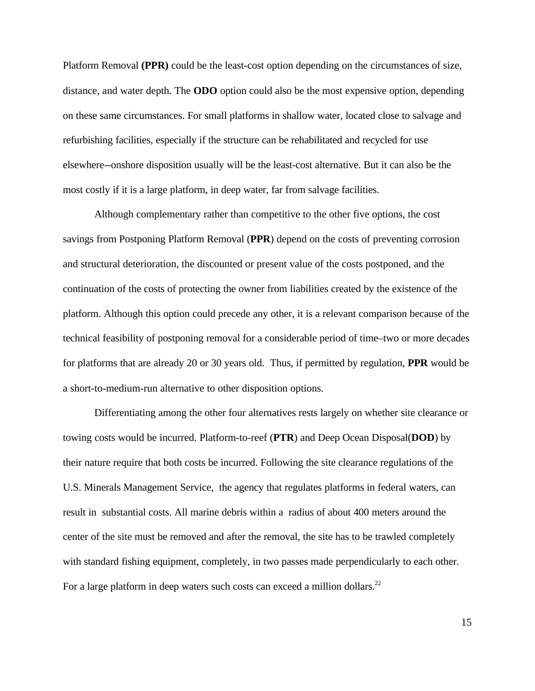Platform Removal **(PPR)** could be the least-cost option depending on the circumstances of size, distance, and water depth. The **ODO** option could also be the most expensive option, depending on these same circumstances. For small platforms in shallow water, located close to salvage and refurbishing facilities, especially if the structure can be rehabilitated and recycled for use elsewhere--onshore disposition usually will be the least-cost alternative. But it can also be the most costly if it is a large platform, in deep water, far from salvage facilities.

Although complementary rather than competitive to the other five options, the cost savings from Postponing Platform Removal (**PPR**) depend on the costs of preventing corrosion and structural deterioration, the discounted or present value of the costs postponed, and the continuation of the costs of protecting the owner from liabilities created by the existence of the platform. Although this option could precede any other, it is a relevant comparison because of the technical feasibility of postponing removal for a considerable period of time–two or more decades for platforms that are already 20 or 30 years old. Thus, if permitted by regulation, **PPR** would be a short-to-medium-run alternative to other disposition options.

Differentiating among the other four alternatives rests largely on whether site clearance or towing costs would be incurred. Platform-to-reef (**PTR**) and Deep Ocean Disposal(**DOD**) by their nature require that both costs be incurred. Following the site clearance regulations of the U.S. Minerals Management Service, the agency that regulates platforms in federal waters, can result in substantial costs. All marine debris within a radius of about 400 meters around the center of the site must be removed and after the removal, the site has to be trawled completely with standard fishing equipment, completely, in two passes made perpendicularly to each other. For a large platform in deep waters such costs can exceed a million dollars.<sup>22</sup>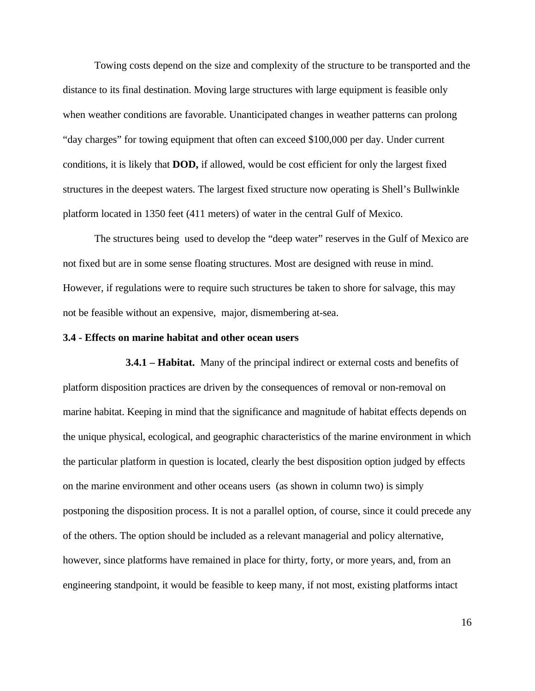Towing costs depend on the size and complexity of the structure to be transported and the distance to its final destination. Moving large structures with large equipment is feasible only when weather conditions are favorable. Unanticipated changes in weather patterns can prolong "day charges" for towing equipment that often can exceed \$100,000 per day. Under current conditions, it is likely that **DOD,** if allowed, would be cost efficient for only the largest fixed structures in the deepest waters. The largest fixed structure now operating is Shell's Bullwinkle platform located in 1350 feet (411 meters) of water in the central Gulf of Mexico.

The structures being used to develop the "deep water" reserves in the Gulf of Mexico are not fixed but are in some sense floating structures. Most are designed with reuse in mind. However, if regulations were to require such structures be taken to shore for salvage, this may not be feasible without an expensive, major, dismembering at-sea.

#### **3.4 - Effects on marine habitat and other ocean users**

**3.4.1 – Habitat.** Many of the principal indirect or external costs and benefits of platform disposition practices are driven by the consequences of removal or non-removal on marine habitat. Keeping in mind that the significance and magnitude of habitat effects depends on the unique physical, ecological, and geographic characteristics of the marine environment in which the particular platform in question is located, clearly the best disposition option judged by effects on the marine environment and other oceans users (as shown in column two) is simply postponing the disposition process. It is not a parallel option, of course, since it could precede any of the others. The option should be included as a relevant managerial and policy alternative, however, since platforms have remained in place for thirty, forty, or more years, and, from an engineering standpoint, it would be feasible to keep many, if not most, existing platforms intact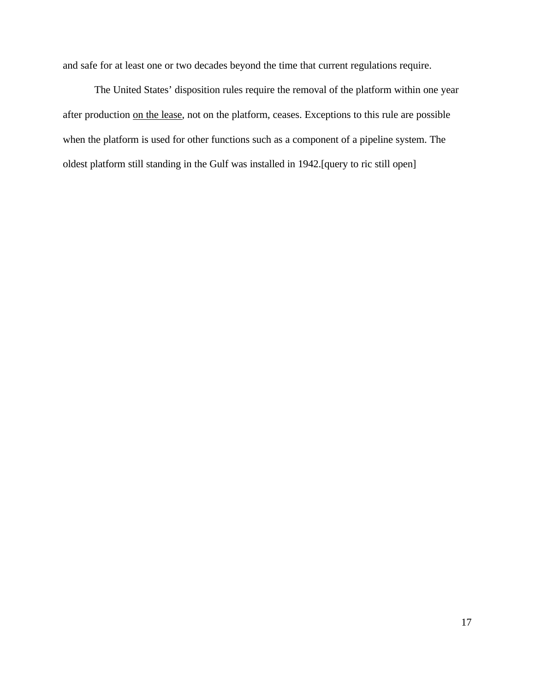and safe for at least one or two decades beyond the time that current regulations require.

The United States' disposition rules require the removal of the platform within one year after production on the lease, not on the platform, ceases. Exceptions to this rule are possible when the platform is used for other functions such as a component of a pipeline system. The oldest platform still standing in the Gulf was installed in 1942.[query to ric still open]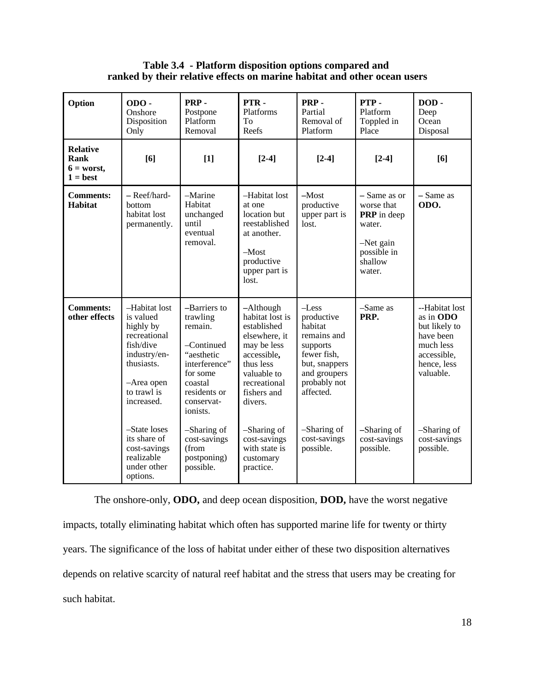**Table 3.4 - Platform disposition options compared and ranked by their relative effects on marine habitat and other ocean users**

| Option                                                | $ODO -$<br>Onshore<br>Disposition<br>Only                                                                                                     | PRP-<br>Postpone<br>Platform<br>Removal                                                                                                           | PTR-<br>Platforms<br>To<br>Reefs                                                                                                                                 | PRP-<br>Partial<br>Removal of<br>Platform                                                                                                | PTP-<br>Platform<br>Toppled in<br>Place                                                                       | DOD-<br>Deep<br>Ocean<br>Disposal                                                                                 |
|-------------------------------------------------------|-----------------------------------------------------------------------------------------------------------------------------------------------|---------------------------------------------------------------------------------------------------------------------------------------------------|------------------------------------------------------------------------------------------------------------------------------------------------------------------|------------------------------------------------------------------------------------------------------------------------------------------|---------------------------------------------------------------------------------------------------------------|-------------------------------------------------------------------------------------------------------------------|
| <b>Relative</b><br>Rank<br>$6 = worst,$<br>$1 = best$ | [6]                                                                                                                                           | $[1]$                                                                                                                                             | $[2-4]$                                                                                                                                                          | $[2-4]$                                                                                                                                  | $[2-4]$                                                                                                       | [6]                                                                                                               |
| <b>Comments:</b><br><b>Habitat</b>                    | - Reef/hard-<br>bottom<br>habitat lost<br>permanently.                                                                                        | -Marine<br>Habitat<br>unchanged<br>until<br>eventual<br>removal.                                                                                  | -Habitat lost<br>at one<br>location but<br>reestablished<br>at another.<br>$-Most$<br>productive<br>upper part is<br>lost.                                       | $-Most$<br>productive<br>upper part is<br>lost.                                                                                          | - Same as or<br>worse that<br><b>PRP</b> in deep<br>water.<br>$-Net gain$<br>possible in<br>shallow<br>water. | - Same as<br>ODO.                                                                                                 |
| <b>Comments:</b><br>other effects                     | -Habitat lost<br>is valued<br>highly by<br>recreational<br>fish/dive<br>industry/en-<br>thusiasts.<br>-Area open<br>to trawl is<br>increased. | -Barriers to<br>trawling<br>remain.<br>-Continued<br>"aesthetic<br>interference"<br>for some<br>coastal<br>residents or<br>conservat-<br>ionists. | -Although<br>habitat lost is<br>established<br>elsewhere, it<br>may be less<br>accessible,<br>thus less<br>valuable to<br>recreational<br>fishers and<br>divers. | $-Less$<br>productive<br>habitat<br>remains and<br>supports<br>fewer fish,<br>but, snappers<br>and groupers<br>probably not<br>affected. | $-Same as$<br>PRP.                                                                                            | --Habitat lost<br>as in ODO<br>but likely to<br>have been<br>much less<br>accessible,<br>hence, less<br>valuable. |
|                                                       | -State loses<br>its share of<br>cost-savings<br>realizable<br>under other<br>options.                                                         | -Sharing of<br>cost-savings<br>(from<br>postponing)<br>possible.                                                                                  | -Sharing of<br>cost-savings<br>with state is<br>customary<br>practice.                                                                                           | -Sharing of<br>cost-savings<br>possible.                                                                                                 | -Sharing of<br>cost-savings<br>possible.                                                                      | -Sharing of<br>cost-savings<br>possible.                                                                          |

The onshore-only, **ODO,** and deep ocean disposition, **DOD,** have the worst negative impacts, totally eliminating habitat which often has supported marine life for twenty or thirty years. The significance of the loss of habitat under either of these two disposition alternatives depends on relative scarcity of natural reef habitat and the stress that users may be creating for such habitat.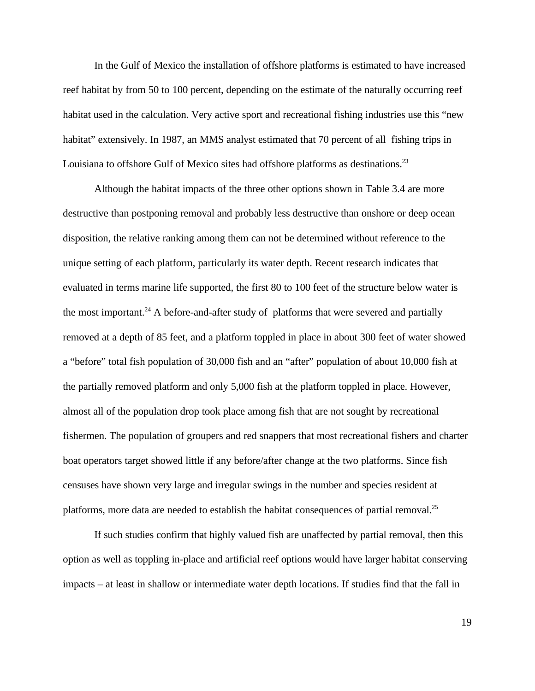In the Gulf of Mexico the installation of offshore platforms is estimated to have increased reef habitat by from 50 to 100 percent, depending on the estimate of the naturally occurring reef habitat used in the calculation. Very active sport and recreational fishing industries use this "new habitat" extensively. In 1987, an MMS analyst estimated that 70 percent of all fishing trips in Louisiana to offshore Gulf of Mexico sites had offshore platforms as destinations.<sup>23</sup>

Although the habitat impacts of the three other options shown in Table 3.4 are more destructive than postponing removal and probably less destructive than onshore or deep ocean disposition, the relative ranking among them can not be determined without reference to the unique setting of each platform, particularly its water depth. Recent research indicates that evaluated in terms marine life supported, the first 80 to 100 feet of the structure below water is the most important.<sup>24</sup> A before-and-after study of platforms that were severed and partially removed at a depth of 85 feet, and a platform toppled in place in about 300 feet of water showed a "before" total fish population of 30,000 fish and an "after" population of about 10,000 fish at the partially removed platform and only 5,000 fish at the platform toppled in place. However, almost all of the population drop took place among fish that are not sought by recreational fishermen. The population of groupers and red snappers that most recreational fishers and charter boat operators target showed little if any before/after change at the two platforms. Since fish censuses have shown very large and irregular swings in the number and species resident at platforms, more data are needed to establish the habitat consequences of partial removal.<sup>25</sup>

If such studies confirm that highly valued fish are unaffected by partial removal, then this option as well as toppling in-place and artificial reef options would have larger habitat conserving impacts – at least in shallow or intermediate water depth locations. If studies find that the fall in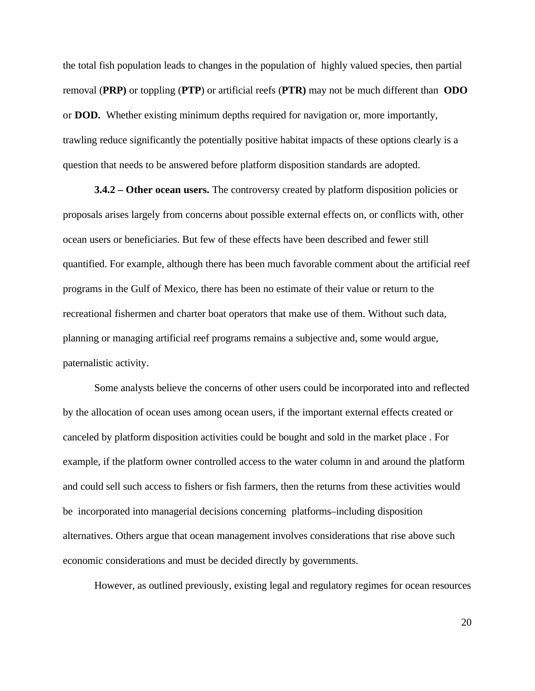the total fish population leads to changes in the population of highly valued species, then partial removal (**PRP)** or toppling (**PTP**) or artificial reefs (**PTR)** may not be much different than **ODO** or **DOD.** Whether existing minimum depths required for navigation or, more importantly, trawling reduce significantly the potentially positive habitat impacts of these options clearly is a question that needs to be answered before platform disposition standards are adopted.

**3.4.2 – Other ocean users.** The controversy created by platform disposition policies or proposals arises largely from concerns about possible external effects on, or conflicts with, other ocean users or beneficiaries. But few of these effects have been described and fewer still quantified. For example, although there has been much favorable comment about the artificial reef programs in the Gulf of Mexico, there has been no estimate of their value or return to the recreational fishermen and charter boat operators that make use of them. Without such data, planning or managing artificial reef programs remains a subjective and, some would argue, paternalistic activity.

Some analysts believe the concerns of other users could be incorporated into and reflected by the allocation of ocean uses among ocean users, if the important external effects created or canceled by platform disposition activities could be bought and sold in the market place . For example, if the platform owner controlled access to the water column in and around the platform and could sell such access to fishers or fish farmers, then the returns from these activities would be incorporated into managerial decisions concerning platforms–including disposition alternatives. Others argue that ocean management involves considerations that rise above such economic considerations and must be decided directly by governments.

However, as outlined previously, existing legal and regulatory regimes for ocean resources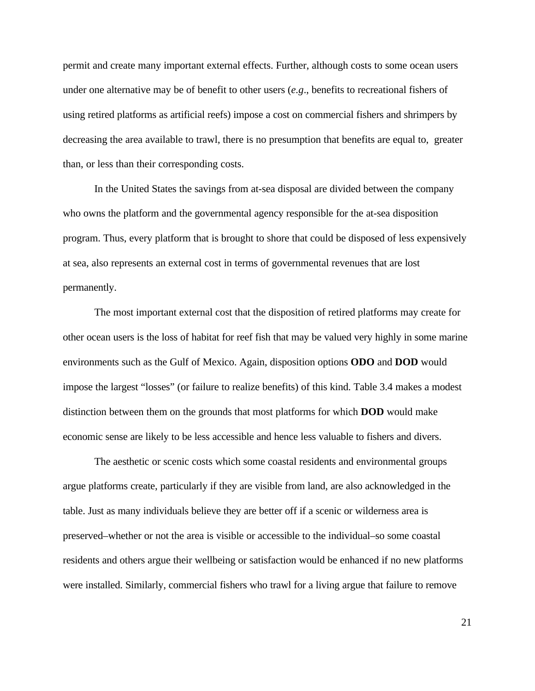permit and create many important external effects. Further, although costs to some ocean users under one alternative may be of benefit to other users (*e.g*., benefits to recreational fishers of using retired platforms as artificial reefs) impose a cost on commercial fishers and shrimpers by decreasing the area available to trawl, there is no presumption that benefits are equal to, greater than, or less than their corresponding costs.

In the United States the savings from at-sea disposal are divided between the company who owns the platform and the governmental agency responsible for the at-sea disposition program. Thus, every platform that is brought to shore that could be disposed of less expensively at sea, also represents an external cost in terms of governmental revenues that are lost permanently.

The most important external cost that the disposition of retired platforms may create for other ocean users is the loss of habitat for reef fish that may be valued very highly in some marine environments such as the Gulf of Mexico. Again, disposition options **ODO** and **DOD** would impose the largest "losses" (or failure to realize benefits) of this kind. Table 3.4 makes a modest distinction between them on the grounds that most platforms for which **DOD** would make economic sense are likely to be less accessible and hence less valuable to fishers and divers.

The aesthetic or scenic costs which some coastal residents and environmental groups argue platforms create, particularly if they are visible from land, are also acknowledged in the table. Just as many individuals believe they are better off if a scenic or wilderness area is preserved–whether or not the area is visible or accessible to the individual–so some coastal residents and others argue their wellbeing or satisfaction would be enhanced if no new platforms were installed. Similarly, commercial fishers who trawl for a living argue that failure to remove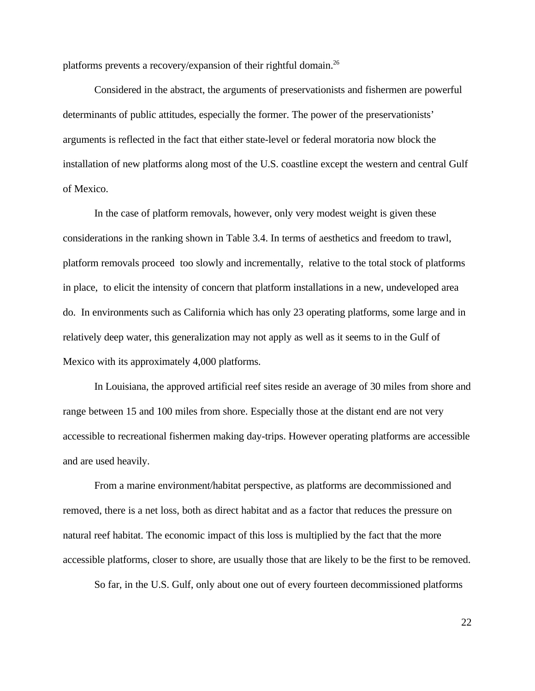platforms prevents a recovery/expansion of their rightful domain.<sup>26</sup>

Considered in the abstract, the arguments of preservationists and fishermen are powerful determinants of public attitudes, especially the former. The power of the preservationists' arguments is reflected in the fact that either state-level or federal moratoria now block the installation of new platforms along most of the U.S. coastline except the western and central Gulf of Mexico.

In the case of platform removals, however, only very modest weight is given these considerations in the ranking shown in Table 3.4. In terms of aesthetics and freedom to trawl, platform removals proceed too slowly and incrementally, relative to the total stock of platforms in place, to elicit the intensity of concern that platform installations in a new, undeveloped area do. In environments such as California which has only 23 operating platforms, some large and in relatively deep water, this generalization may not apply as well as it seems to in the Gulf of Mexico with its approximately 4,000 platforms.

In Louisiana, the approved artificial reef sites reside an average of 30 miles from shore and range between 15 and 100 miles from shore. Especially those at the distant end are not very accessible to recreational fishermen making day-trips. However operating platforms are accessible and are used heavily.

From a marine environment/habitat perspective, as platforms are decommissioned and removed, there is a net loss, both as direct habitat and as a factor that reduces the pressure on natural reef habitat. The economic impact of this loss is multiplied by the fact that the more accessible platforms, closer to shore, are usually those that are likely to be the first to be removed.

So far, in the U.S. Gulf, only about one out of every fourteen decommissioned platforms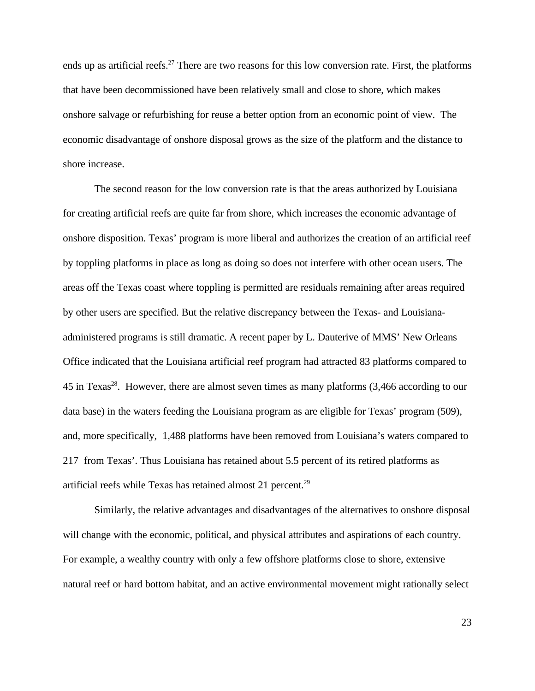ends up as artificial reefs.<sup>27</sup> There are two reasons for this low conversion rate. First, the platforms that have been decommissioned have been relatively small and close to shore, which makes onshore salvage or refurbishing for reuse a better option from an economic point of view. The economic disadvantage of onshore disposal grows as the size of the platform and the distance to shore increase.

The second reason for the low conversion rate is that the areas authorized by Louisiana for creating artificial reefs are quite far from shore, which increases the economic advantage of onshore disposition. Texas' program is more liberal and authorizes the creation of an artificial reef by toppling platforms in place as long as doing so does not interfere with other ocean users. The areas off the Texas coast where toppling is permitted are residuals remaining after areas required by other users are specified. But the relative discrepancy between the Texas- and Louisianaadministered programs is still dramatic. A recent paper by L. Dauterive of MMS' New Orleans Office indicated that the Louisiana artificial reef program had attracted 83 platforms compared to 45 in Texas<sup>28</sup>. However, there are almost seven times as many platforms (3,466 according to our data base) in the waters feeding the Louisiana program as are eligible for Texas' program (509), and, more specifically, 1,488 platforms have been removed from Louisiana's waters compared to 217 from Texas'. Thus Louisiana has retained about 5.5 percent of its retired platforms as artificial reefs while Texas has retained almost 21 percent.<sup>29</sup>

Similarly, the relative advantages and disadvantages of the alternatives to onshore disposal will change with the economic, political, and physical attributes and aspirations of each country. For example, a wealthy country with only a few offshore platforms close to shore, extensive natural reef or hard bottom habitat, and an active environmental movement might rationally select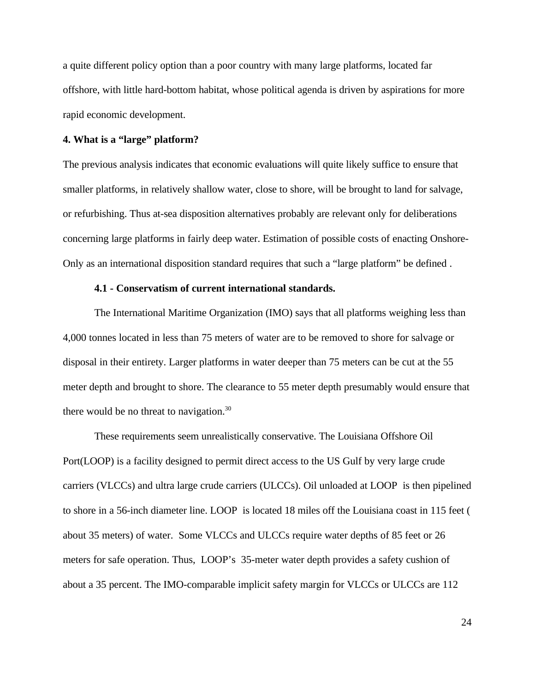a quite different policy option than a poor country with many large platforms, located far offshore, with little hard-bottom habitat, whose political agenda is driven by aspirations for more rapid economic development.

#### **4. What is a "large" platform?**

The previous analysis indicates that economic evaluations will quite likely suffice to ensure that smaller platforms, in relatively shallow water, close to shore, will be brought to land for salvage, or refurbishing. Thus at-sea disposition alternatives probably are relevant only for deliberations concerning large platforms in fairly deep water. Estimation of possible costs of enacting Onshore-Only as an international disposition standard requires that such a "large platform" be defined .

### **4.1 - Conservatism of current international standards.**

The International Maritime Organization (IMO) says that all platforms weighing less than 4,000 tonnes located in less than 75 meters of water are to be removed to shore for salvage or disposal in their entirety. Larger platforms in water deeper than 75 meters can be cut at the 55 meter depth and brought to shore. The clearance to 55 meter depth presumably would ensure that there would be no threat to navigation.<sup>30</sup>

These requirements seem unrealistically conservative. The Louisiana Offshore Oil Port(LOOP) is a facility designed to permit direct access to the US Gulf by very large crude carriers (VLCCs) and ultra large crude carriers (ULCCs). Oil unloaded at LOOP is then pipelined to shore in a 56-inch diameter line. LOOP is located 18 miles off the Louisiana coast in 115 feet ( about 35 meters) of water. Some VLCCs and ULCCs require water depths of 85 feet or 26 meters for safe operation. Thus, LOOP's 35-meter water depth provides a safety cushion of about a 35 percent. The IMO-comparable implicit safety margin for VLCCs or ULCCs are 112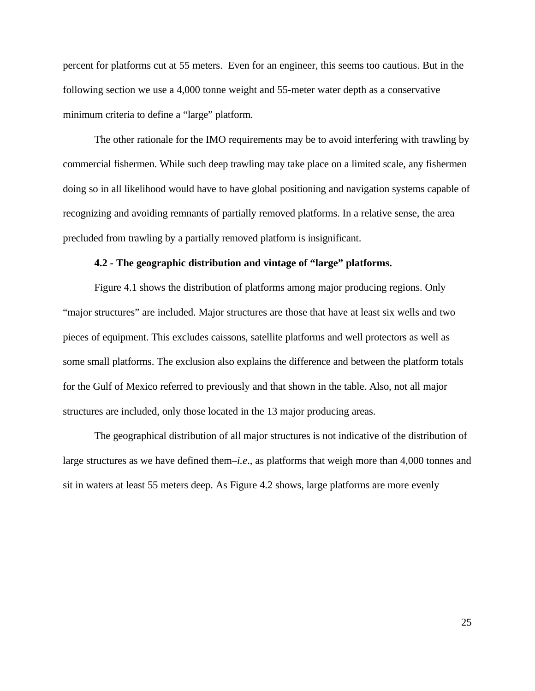percent for platforms cut at 55 meters. Even for an engineer, this seems too cautious. But in the following section we use a 4,000 tonne weight and 55-meter water depth as a conservative minimum criteria to define a "large" platform.

The other rationale for the IMO requirements may be to avoid interfering with trawling by commercial fishermen. While such deep trawling may take place on a limited scale, any fishermen doing so in all likelihood would have to have global positioning and navigation systems capable of recognizing and avoiding remnants of partially removed platforms. In a relative sense, the area precluded from trawling by a partially removed platform is insignificant.

#### **4.2 - The geographic distribution and vintage of "large" platforms.**

Figure 4.1 shows the distribution of platforms among major producing regions. Only "major structures" are included. Major structures are those that have at least six wells and two pieces of equipment. This excludes caissons, satellite platforms and well protectors as well as some small platforms. The exclusion also explains the difference and between the platform totals for the Gulf of Mexico referred to previously and that shown in the table. Also, not all major structures are included, only those located in the 13 major producing areas.

The geographical distribution of all major structures is not indicative of the distribution of large structures as we have defined them–*i.e*., as platforms that weigh more than 4,000 tonnes and sit in waters at least 55 meters deep. As Figure 4.2 shows, large platforms are more evenly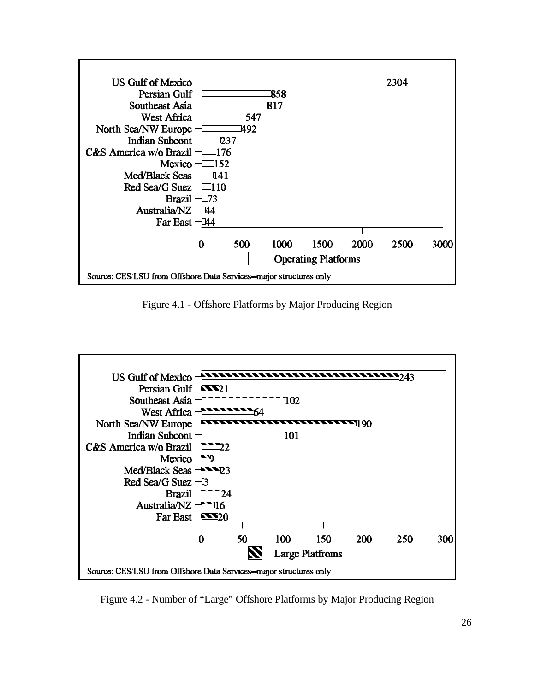

Figure 4.1 - Offshore Platforms by Major Producing Region



Figure 4.2 - Number of "Large" Offshore Platforms by Major Producing Region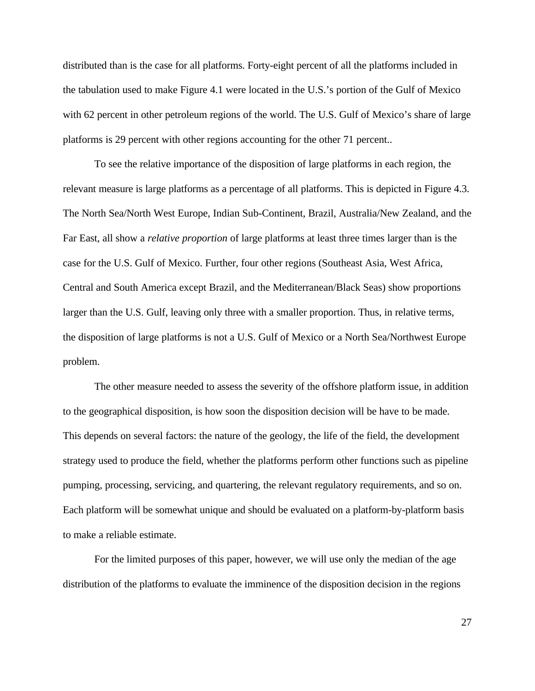distributed than is the case for all platforms. Forty-eight percent of all the platforms included in the tabulation used to make Figure 4.1 were located in the U.S.'s portion of the Gulf of Mexico with 62 percent in other petroleum regions of the world. The U.S. Gulf of Mexico's share of large platforms is 29 percent with other regions accounting for the other 71 percent..

To see the relative importance of the disposition of large platforms in each region, the relevant measure is large platforms as a percentage of all platforms. This is depicted in Figure 4.3. The North Sea/North West Europe, Indian Sub-Continent, Brazil, Australia/New Zealand, and the Far East, all show a *relative proportion* of large platforms at least three times larger than is the case for the U.S. Gulf of Mexico. Further, four other regions (Southeast Asia, West Africa, Central and South America except Brazil, and the Mediterranean/Black Seas) show proportions larger than the U.S. Gulf, leaving only three with a smaller proportion. Thus, in relative terms, the disposition of large platforms is not a U.S. Gulf of Mexico or a North Sea/Northwest Europe problem.

The other measure needed to assess the severity of the offshore platform issue, in addition to the geographical disposition, is how soon the disposition decision will be have to be made. This depends on several factors: the nature of the geology, the life of the field, the development strategy used to produce the field, whether the platforms perform other functions such as pipeline pumping, processing, servicing, and quartering, the relevant regulatory requirements, and so on. Each platform will be somewhat unique and should be evaluated on a platform-by-platform basis to make a reliable estimate.

For the limited purposes of this paper, however, we will use only the median of the age distribution of the platforms to evaluate the imminence of the disposition decision in the regions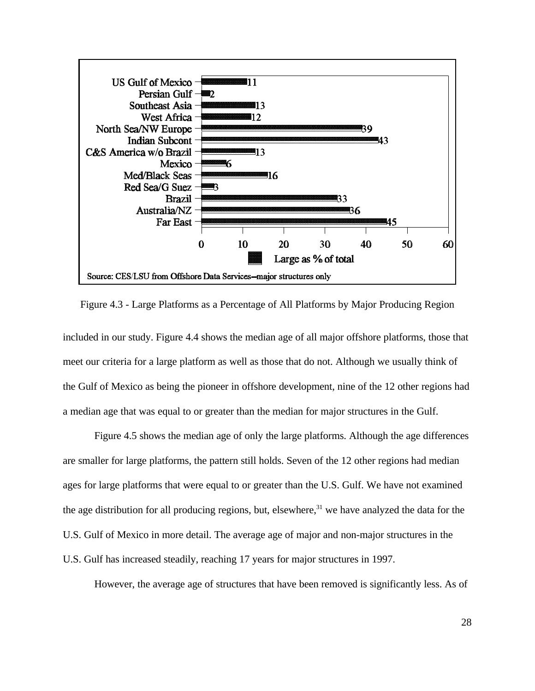

Figure 4.3 - Large Platforms as a Percentage of All Platforms by Major Producing Region

included in our study. Figure 4.4 shows the median age of all major offshore platforms, those that meet our criteria for a large platform as well as those that do not. Although we usually think of the Gulf of Mexico as being the pioneer in offshore development, nine of the 12 other regions had a median age that was equal to or greater than the median for major structures in the Gulf.

Figure 4.5 shows the median age of only the large platforms. Although the age differences are smaller for large platforms, the pattern still holds. Seven of the 12 other regions had median ages for large platforms that were equal to or greater than the U.S. Gulf. We have not examined the age distribution for all producing regions, but, elsewhere, $31$  we have analyzed the data for the U.S. Gulf of Mexico in more detail. The average age of major and non-major structures in the U.S. Gulf has increased steadily, reaching 17 years for major structures in 1997.

However, the average age of structures that have been removed is significantly less. As of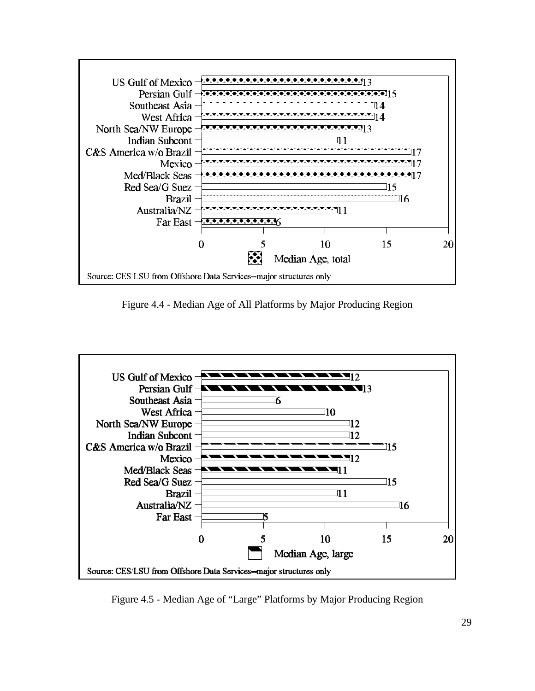

Figure 4.4 - Median Age of All Platforms by Major Producing Region



Figure 4.5 - Median Age of "Large" Platforms by Major Producing Region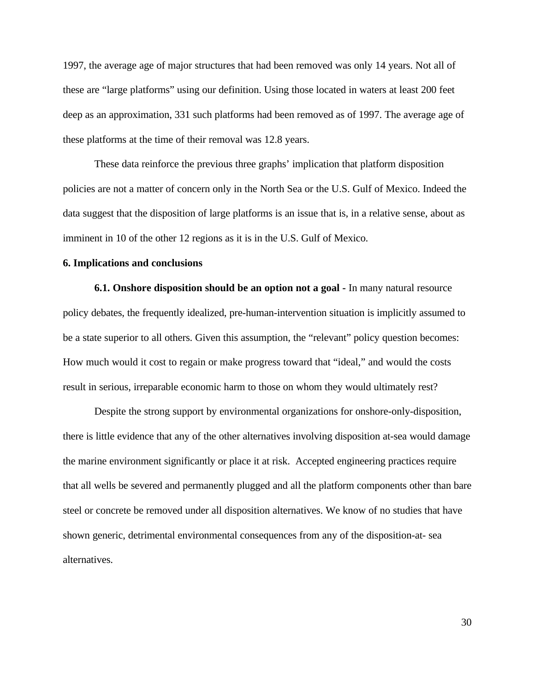1997, the average age of major structures that had been removed was only 14 years. Not all of these are "large platforms" using our definition. Using those located in waters at least 200 feet deep as an approximation, 331 such platforms had been removed as of 1997. The average age of these platforms at the time of their removal was 12.8 years.

These data reinforce the previous three graphs' implication that platform disposition policies are not a matter of concern only in the North Sea or the U.S. Gulf of Mexico. Indeed the data suggest that the disposition of large platforms is an issue that is, in a relative sense, about as imminent in 10 of the other 12 regions as it is in the U.S. Gulf of Mexico.

#### **6. Implications and conclusions**

**6.1. Onshore disposition should be an option not a goal -** In many natural resource policy debates, the frequently idealized, pre-human-intervention situation is implicitly assumed to be a state superior to all others. Given this assumption, the "relevant" policy question becomes: How much would it cost to regain or make progress toward that "ideal," and would the costs result in serious, irreparable economic harm to those on whom they would ultimately rest?

Despite the strong support by environmental organizations for onshore-only-disposition, there is little evidence that any of the other alternatives involving disposition at-sea would damage the marine environment significantly or place it at risk. Accepted engineering practices require that all wells be severed and permanently plugged and all the platform components other than bare steel or concrete be removed under all disposition alternatives. We know of no studies that have shown generic, detrimental environmental consequences from any of the disposition-at- sea alternatives.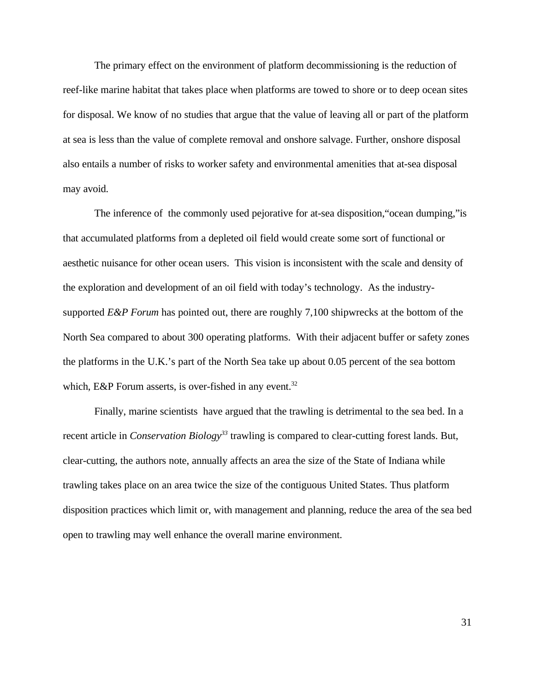The primary effect on the environment of platform decommissioning is the reduction of reef-like marine habitat that takes place when platforms are towed to shore or to deep ocean sites for disposal. We know of no studies that argue that the value of leaving all or part of the platform at sea is less than the value of complete removal and onshore salvage. Further, onshore disposal also entails a number of risks to worker safety and environmental amenities that at-sea disposal may avoid.

The inference of the commonly used pejorative for at-sea disposition,"ocean dumping,"is that accumulated platforms from a depleted oil field would create some sort of functional or aesthetic nuisance for other ocean users. This vision is inconsistent with the scale and density of the exploration and development of an oil field with today's technology. As the industrysupported *E&P Forum* has pointed out, there are roughly 7,100 shipwrecks at the bottom of the North Sea compared to about 300 operating platforms. With their adjacent buffer or safety zones the platforms in the U.K.'s part of the North Sea take up about 0.05 percent of the sea bottom which, E&P Forum asserts, is over-fished in any event.<sup>32</sup>

Finally, marine scientists have argued that the trawling is detrimental to the sea bed. In a recent article in *Conservation Biology<sup>33</sup>* trawling is compared to clear-cutting forest lands. But, clear-cutting, the authors note, annually affects an area the size of the State of Indiana while trawling takes place on an area twice the size of the contiguous United States. Thus platform disposition practices which limit or, with management and planning, reduce the area of the sea bed open to trawling may well enhance the overall marine environment.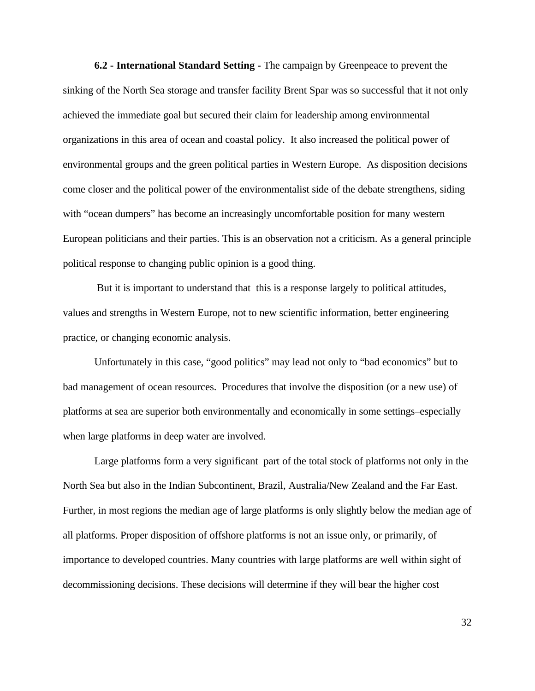**6.2 - International Standard Setting -** The campaign by Greenpeace to prevent the sinking of the North Sea storage and transfer facility Brent Spar was so successful that it not only achieved the immediate goal but secured their claim for leadership among environmental organizations in this area of ocean and coastal policy. It also increased the political power of environmental groups and the green political parties in Western Europe. As disposition decisions come closer and the political power of the environmentalist side of the debate strengthens, siding with "ocean dumpers" has become an increasingly uncomfortable position for many western European politicians and their parties. This is an observation not a criticism. As a general principle political response to changing public opinion is a good thing.

 But it is important to understand that this is a response largely to political attitudes, values and strengths in Western Europe, not to new scientific information, better engineering practice, or changing economic analysis.

Unfortunately in this case, "good politics" may lead not only to "bad economics" but to bad management of ocean resources. Procedures that involve the disposition (or a new use) of platforms at sea are superior both environmentally and economically in some settings–especially when large platforms in deep water are involved.

Large platforms form a very significant part of the total stock of platforms not only in the North Sea but also in the Indian Subcontinent, Brazil, Australia/New Zealand and the Far East. Further, in most regions the median age of large platforms is only slightly below the median age of all platforms. Proper disposition of offshore platforms is not an issue only, or primarily, of importance to developed countries. Many countries with large platforms are well within sight of decommissioning decisions. These decisions will determine if they will bear the higher cost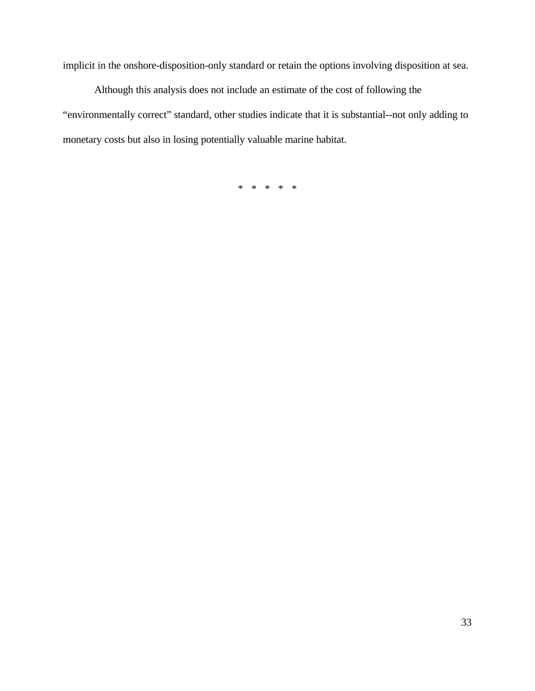implicit in the onshore-disposition-only standard or retain the options involving disposition at sea.

Although this analysis does not include an estimate of the cost of following the "environmentally correct" standard, other studies indicate that it is substantial--not only adding to monetary costs but also in losing potentially valuable marine habitat.

\* \* \* \* \*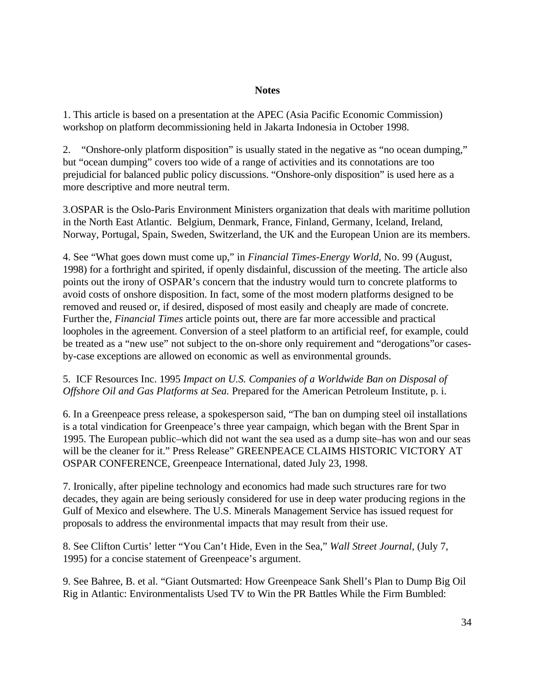#### **Notes**

1. This article is based on a presentation at the APEC (Asia Pacific Economic Commission) workshop on platform decommissioning held in Jakarta Indonesia in October 1998.

2. "Onshore-only platform disposition" is usually stated in the negative as "no ocean dumping," but "ocean dumping" covers too wide of a range of activities and its connotations are too prejudicial for balanced public policy discussions. "Onshore-only disposition" is used here as a more descriptive and more neutral term.

3.OSPAR is the Oslo-Paris Environment Ministers organization that deals with maritime pollution in the North East Atlantic. Belgium, Denmark, France, Finland, Germany, Iceland, Ireland, Norway, Portugal, Spain, Sweden, Switzerland, the UK and the European Union are its members.

4. See "What goes down must come up," in *Financial Times-Energy World,* No. 99 (August, 1998) for a forthright and spirited, if openly disdainful, discussion of the meeting. The article also points out the irony of OSPAR's concern that the industry would turn to concrete platforms to avoid costs of onshore disposition. In fact, some of the most modern platforms designed to be removed and reused or, if desired, disposed of most easily and cheaply are made of concrete. Further the, *Financial Times* article points out, there are far more accessible and practical loopholes in the agreement. Conversion of a steel platform to an artificial reef, for example, could be treated as a "new use" not subject to the on-shore only requirement and "derogations" or casesby-case exceptions are allowed on economic as well as environmental grounds.

## 5. ICF Resources Inc. 1995 *Impact on U.S. Companies of a Worldwide Ban on Disposal of Offshore Oil and Gas Platforms at Sea.* Prepared for the American Petroleum Institute, p. i.

6. In a Greenpeace press release, a spokesperson said, "The ban on dumping steel oil installations is a total vindication for Greenpeace's three year campaign, which began with the Brent Spar in 1995. The European public–which did not want the sea used as a dump site–has won and our seas will be the cleaner for it." Press Release" GREENPEACE CLAIMS HISTORIC VICTORY AT OSPAR CONFERENCE, Greenpeace International, dated July 23, 1998.

7. Ironically, after pipeline technology and economics had made such structures rare for two decades, they again are being seriously considered for use in deep water producing regions in the Gulf of Mexico and elsewhere. The U.S. Minerals Management Service has issued request for proposals to address the environmental impacts that may result from their use.

8. See Clifton Curtis' letter "You Can't Hide, Even in the Sea," *Wall Street Journal*, (July 7, 1995) for a concise statement of Greenpeace's argument.

9. See Bahree, B. et al. "Giant Outsmarted: How Greenpeace Sank Shell's Plan to Dump Big Oil Rig in Atlantic: Environmentalists Used TV to Win the PR Battles While the Firm Bumbled: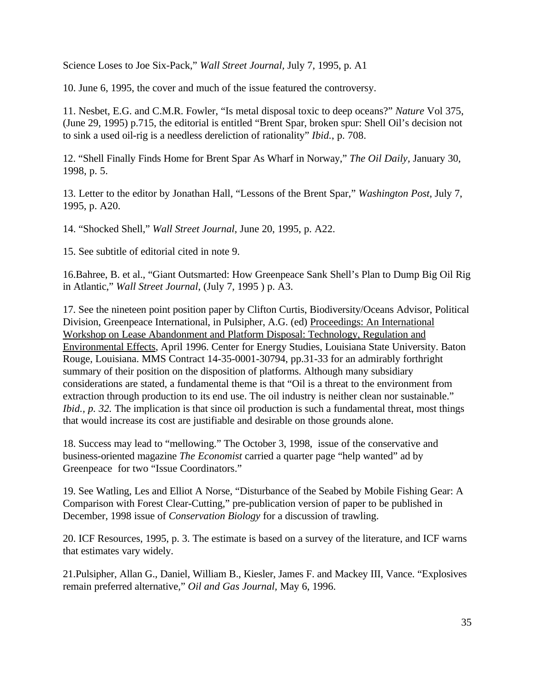Science Loses to Joe Six-Pack," *Wall Street Journal,* July 7, 1995, p. A1

10. June 6, 1995, the cover and much of the issue featured the controversy.

11. Nesbet, E.G. and C.M.R. Fowler, "Is metal disposal toxic to deep oceans?" *Nature* Vol 375, (June 29, 1995) p.715, the editorial is entitled "Brent Spar, broken spur: Shell Oil's decision not to sink a used oil-rig is a needless dereliction of rationality" *Ibid.*, p. 708.

12. "Shell Finally Finds Home for Brent Spar As Wharf in Norway," *The Oil Daily,* January 30, 1998, p. 5.

13. Letter to the editor by Jonathan Hall, "Lessons of the Brent Spar," *Washington Post*, July 7, 1995, p. A20.

14. "Shocked Shell," *Wall Street Journal*, June 20, 1995, p. A22.

15. See subtitle of editorial cited in note 9.

16.Bahree, B. et al., "Giant Outsmarted: How Greenpeace Sank Shell's Plan to Dump Big Oil Rig in Atlantic," *Wall Street Journal*, (July 7, 1995 ) p. A3.

17. See the nineteen point position paper by Clifton Curtis, Biodiversity/Oceans Advisor, Political Division, Greenpeace International, in Pulsipher, A.G. (ed) Proceedings: An International Workshop on Lease Abandonment and Platform Disposal: Technology, Regulation and Environmental Effects, April 1996. Center for Energy Studies, Louisiana State University. Baton Rouge, Louisiana. MMS Contract 14-35-0001-30794, pp.31-33 for an admirably forthright summary of their position on the disposition of platforms. Although many subsidiary considerations are stated, a fundamental theme is that "Oil is a threat to the environment from extraction through production to its end use. The oil industry is neither clean nor sustainable." *Ibid., p. 32.* The implication is that since oil production is such a fundamental threat, most things that would increase its cost are justifiable and desirable on those grounds alone.

18. Success may lead to "mellowing." The October 3, 1998, issue of the conservative and business-oriented magazine *The Economist* carried a quarter page "help wanted" ad by Greenpeace for two "Issue Coordinators."

19. See Watling, Les and Elliot A Norse, "Disturbance of the Seabed by Mobile Fishing Gear: A Comparison with Forest Clear-Cutting," pre-publication version of paper to be published in December, 1998 issue of *Conservation Biology* for a discussion of trawling.

20. ICF Resources, 1995, p. 3. The estimate is based on a survey of the literature, and ICF warns that estimates vary widely.

21.Pulsipher, Allan G., Daniel, William B., Kiesler, James F. and Mackey III, Vance. "Explosives remain preferred alternative," *Oil and Gas Journal,* May 6, 1996.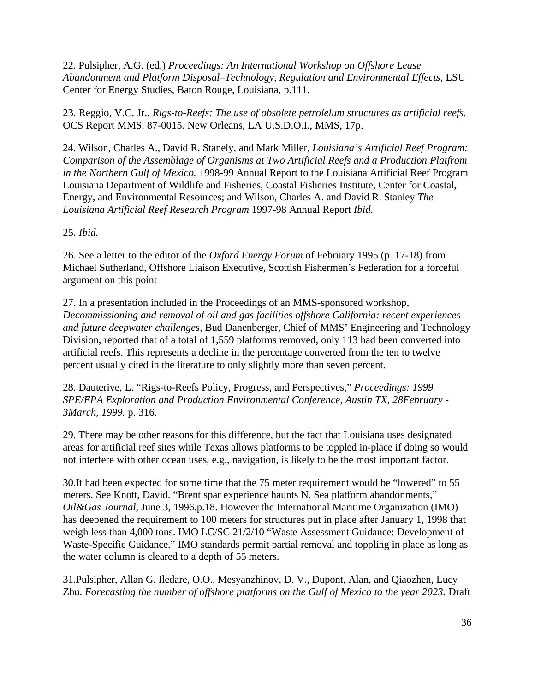22. Pulsipher, A.G. (ed.) *Proceedings: An International Workshop on Offshore Lease* Abandonment and Platform Disposal–Technology, Regulation and Environmental Effects, LSU Center for Energy Studies, Baton Rouge, Louisiana, p.111.

23. Reggio, V.C. Jr., *Rigs-to-Reefs: The use of obsolete petrolelum structures as artificial reefs.* OCS Report MMS. 87-0015. New Orleans, LA U.S.D.O.I., MMS, 17p.

24. Wilson, Charles A., David R. Stanely, and Mark Miller, *Louisiana's Artificial Reef Program: Comparison of the Assemblage of Organisms at Two Artificial Reefs and a Production Platfrom in the Northern Gulf of Mexico.* 1998-99 Annual Report to the Louisiana Artificial Reef Program Louisiana Department of Wildlife and Fisheries, Coastal Fisheries Institute, Center for Coastal, Energy, and Environmental Resources; and Wilson, Charles A. and David R. Stanley *The Louisiana Artificial Reef Research Program* 1997-98 Annual Report *Ibid.*

25. *Ibid.*

26. See a letter to the editor of the *Oxford Energy Forum* of February 1995 (p. 17-18) from Michael Sutherland, Offshore Liaison Executive, Scottish Fishermen's Federation for a forceful argument on this point

27. In a presentation included in the Proceedings of an MMS-sponsored workshop, *Decommissioning and removal of oil and gas facilities offshore California: recent experiences and future deepwater challenges,* Bud Danenberger, Chief of MMS' Engineering and Technology Division, reported that of a total of 1,559 platforms removed, only 113 had been converted into artificial reefs. This represents a decline in the percentage converted from the ten to twelve percent usually cited in the literature to only slightly more than seven percent.

28. Dauterive, L. "Rigs-to-Reefs Policy, Progress, and Perspectives," *Proceedings: 1999 SPE/EPA Exploration and Production Environmental Conference, Austin TX, 28February - 3March, 1999.* p. 316.

29. There may be other reasons for this difference, but the fact that Louisiana uses designated areas for artificial reef sites while Texas allows platforms to be toppled in-place if doing so would not interfere with other ocean uses, e.g., navigation, is likely to be the most important factor.

30.It had been expected for some time that the 75 meter requirement would be "lowered" to 55 meters. See Knott, David. "Brent spar experience haunts N. Sea platform abandonments," *Oil&Gas Journal*, June 3, 1996.p.18. However the International Maritime Organization (IMO) has deepened the requirement to 100 meters for structures put in place after January 1, 1998 that weigh less than 4,000 tons. IMO LC/SC 21/2/10 "Waste Assessment Guidance: Development of Waste-Specific Guidance." IMO standards permit partial removal and toppling in place as long as the water column is cleared to a depth of 55 meters.

31.Pulsipher, Allan G. Iledare, O.O., Mesyanzhinov, D. V., Dupont, Alan, and Qiaozhen, Lucy Zhu. *Forecasting the number of offshore platforms on the Gulf of Mexico to the year 2023*. Draft